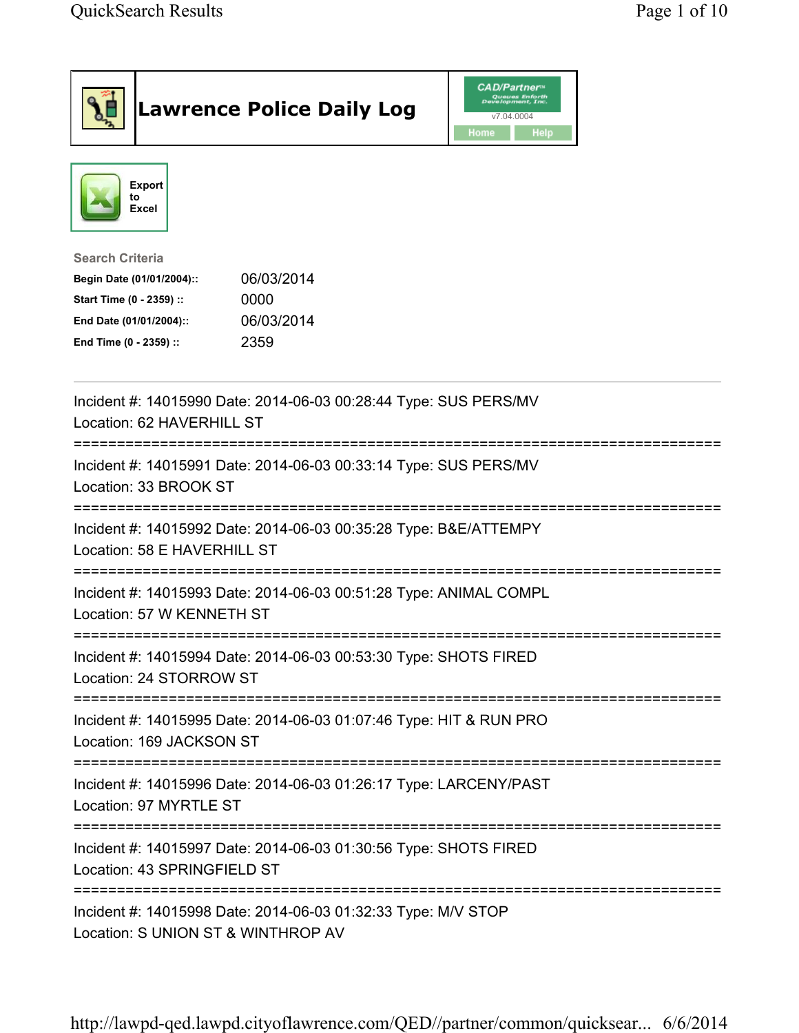|                                                                                                                                      | <b>Lawrence Police Daily Log</b>                                                                    | <b>CAD/Partner</b> "<br>Queues Enforth<br>Development, Inc.<br>v7.04.0004<br>Home<br><b>Help</b> |  |
|--------------------------------------------------------------------------------------------------------------------------------------|-----------------------------------------------------------------------------------------------------|--------------------------------------------------------------------------------------------------|--|
| <b>Export</b><br>to<br><b>Excel</b>                                                                                                  |                                                                                                     |                                                                                                  |  |
| <b>Search Criteria</b><br>Begin Date (01/01/2004)::<br>Start Time (0 - 2359) ::<br>End Date (01/01/2004)::<br>End Time (0 - 2359) :: | 06/03/2014<br>0000<br>06/03/2014<br>2359                                                            |                                                                                                  |  |
| Location: 62 HAVERHILL ST                                                                                                            | Incident #: 14015990 Date: 2014-06-03 00:28:44 Type: SUS PERS/MV                                    |                                                                                                  |  |
| Location: 33 BROOK ST                                                                                                                | Incident #: 14015991 Date: 2014-06-03 00:33:14 Type: SUS PERS/MV                                    |                                                                                                  |  |
| Location: 58 E HAVERHILL ST                                                                                                          | Incident #: 14015992 Date: 2014-06-03 00:35:28 Type: B&E/ATTEMPY                                    |                                                                                                  |  |
| Location: 57 W KENNETH ST                                                                                                            | Incident #: 14015993 Date: 2014-06-03 00:51:28 Type: ANIMAL COMPL                                   |                                                                                                  |  |
| Location: 24 STORROW ST                                                                                                              | Incident #: 14015994 Date: 2014-06-03 00:53:30 Type: SHOTS FIRED                                    |                                                                                                  |  |
| Location: 169 JACKSON ST                                                                                                             | Incident #: 14015995 Date: 2014-06-03 01:07:46 Type: HIT & RUN PRO                                  |                                                                                                  |  |
| Location: 97 MYRTLE ST                                                                                                               | Incident #: 14015996 Date: 2014-06-03 01:26:17 Type: LARCENY/PAST                                   |                                                                                                  |  |
| Location: 43 SPRINGFIELD ST                                                                                                          | Incident #: 14015997 Date: 2014-06-03 01:30:56 Type: SHOTS FIRED                                    |                                                                                                  |  |
|                                                                                                                                      | Incident #: 14015998 Date: 2014-06-03 01:32:33 Type: M/V STOP<br>Location: S UNION ST & WINTHROP AV |                                                                                                  |  |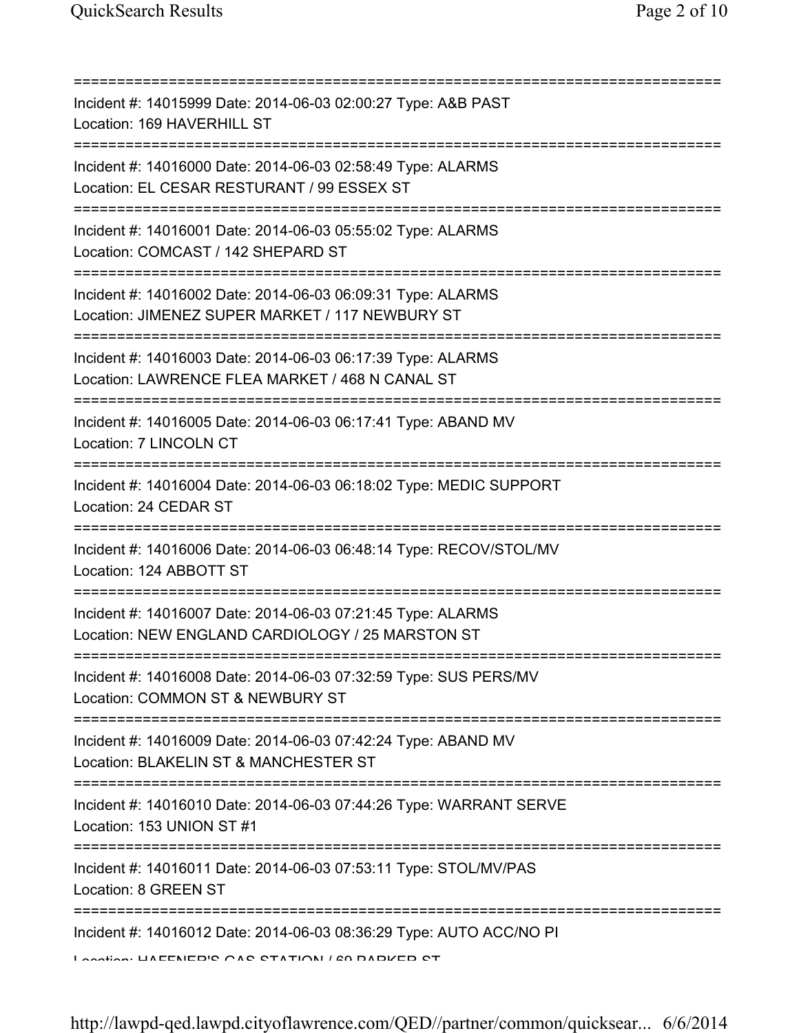| Incident #: 14015999 Date: 2014-06-03 02:00:27 Type: A&B PAST<br>Location: 169 HAVERHILL ST                                                     |
|-------------------------------------------------------------------------------------------------------------------------------------------------|
| Incident #: 14016000 Date: 2014-06-03 02:58:49 Type: ALARMS<br>Location: EL CESAR RESTURANT / 99 ESSEX ST                                       |
| Incident #: 14016001 Date: 2014-06-03 05:55:02 Type: ALARMS<br>Location: COMCAST / 142 SHEPARD ST                                               |
| Incident #: 14016002 Date: 2014-06-03 06:09:31 Type: ALARMS<br>Location: JIMENEZ SUPER MARKET / 117 NEWBURY ST                                  |
| Incident #: 14016003 Date: 2014-06-03 06:17:39 Type: ALARMS<br>Location: LAWRENCE FLEA MARKET / 468 N CANAL ST                                  |
| Incident #: 14016005 Date: 2014-06-03 06:17:41 Type: ABAND MV<br>Location: 7 LINCOLN CT                                                         |
| Incident #: 14016004 Date: 2014-06-03 06:18:02 Type: MEDIC SUPPORT<br>Location: 24 CEDAR ST                                                     |
| Incident #: 14016006 Date: 2014-06-03 06:48:14 Type: RECOV/STOL/MV<br>Location: 124 ABBOTT ST                                                   |
| Incident #: 14016007 Date: 2014-06-03 07:21:45 Type: ALARMS<br>Location: NEW ENGLAND CARDIOLOGY / 25 MARSTON ST                                 |
| Incident #: 14016008 Date: 2014-06-03 07:32:59 Type: SUS PERS/MV<br>Location: COMMON ST & NEWBURY ST                                            |
| :====================================<br>Incident #: 14016009 Date: 2014-06-03 07:42:24 Type: ABAND MV<br>Location: BLAKELIN ST & MANCHESTER ST |
| Incident #: 14016010 Date: 2014-06-03 07:44:26 Type: WARRANT SERVE<br>Location: 153 UNION ST #1                                                 |
| Incident #: 14016011 Date: 2014-06-03 07:53:11 Type: STOL/MV/PAS<br>Location: 8 GREEN ST                                                        |
| Incident #: 14016012 Date: 2014-06-03 08:36:29 Type: AUTO ACC/NO PI<br>Lootion: UAEENEDIC CAC CTATION / CO DADIZED CT                           |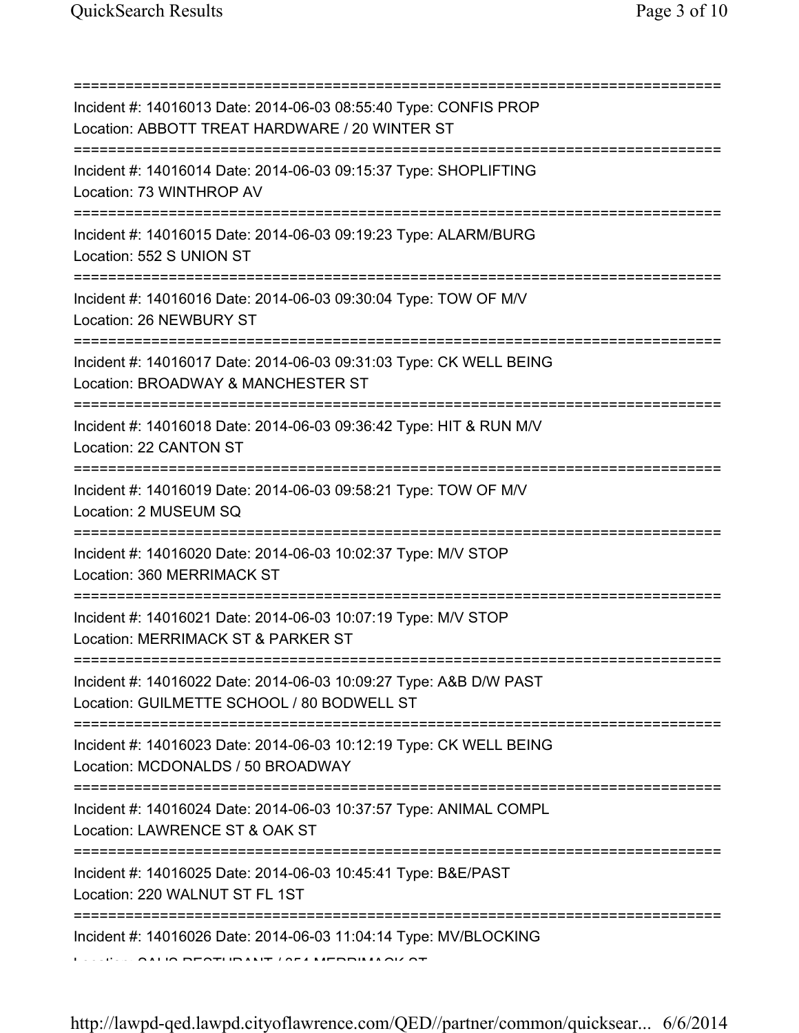=========================================================================== Incident #: 14016013 Date: 2014-06-03 08:55:40 Type: CONFIS PROP Location: ABBOTT TREAT HARDWARE / 20 WINTER ST =========================================================================== Incident #: 14016014 Date: 2014-06-03 09:15:37 Type: SHOPLIFTING Location: 73 WINTHROP AV =========================================================================== Incident #: 14016015 Date: 2014-06-03 09:19:23 Type: ALARM/BURG Location: 552 S UNION ST =========================================================================== Incident #: 14016016 Date: 2014-06-03 09:30:04 Type: TOW OF M/V Location: 26 NEWBURY ST =========================================================================== Incident #: 14016017 Date: 2014-06-03 09:31:03 Type: CK WELL BEING Location: BROADWAY & MANCHESTER ST =========================================================================== Incident #: 14016018 Date: 2014-06-03 09:36:42 Type: HIT & RUN M/V Location: 22 CANTON ST =========================================================================== Incident #: 14016019 Date: 2014-06-03 09:58:21 Type: TOW OF M/V Location: 2 MUSEUM SQ =========================================================================== Incident #: 14016020 Date: 2014-06-03 10:02:37 Type: M/V STOP Location: 360 MERRIMACK ST =========================================================================== Incident #: 14016021 Date: 2014-06-03 10:07:19 Type: M/V STOP Location: MERRIMACK ST & PARKER ST =========================================================================== Incident #: 14016022 Date: 2014-06-03 10:09:27 Type: A&B D/W PAST Location: GUILMETTE SCHOOL / 80 BODWELL ST =========================================================================== Incident #: 14016023 Date: 2014-06-03 10:12:19 Type: CK WELL BEING Location: MCDONALDS / 50 BROADWAY =========================================================================== Incident #: 14016024 Date: 2014-06-03 10:37:57 Type: ANIMAL COMPL Location: LAWRENCE ST & OAK ST =========================================================================== Incident #: 14016025 Date: 2014-06-03 10:45:41 Type: B&E/PAST Location: 220 WALNUT ST FL 1ST =========================================================================== Incident #: 14016026 Date: 2014-06-03 11:04:14 Type: MV/BLOCKING Location: SAL'S RESTURANT / 354 MERRIMACK ST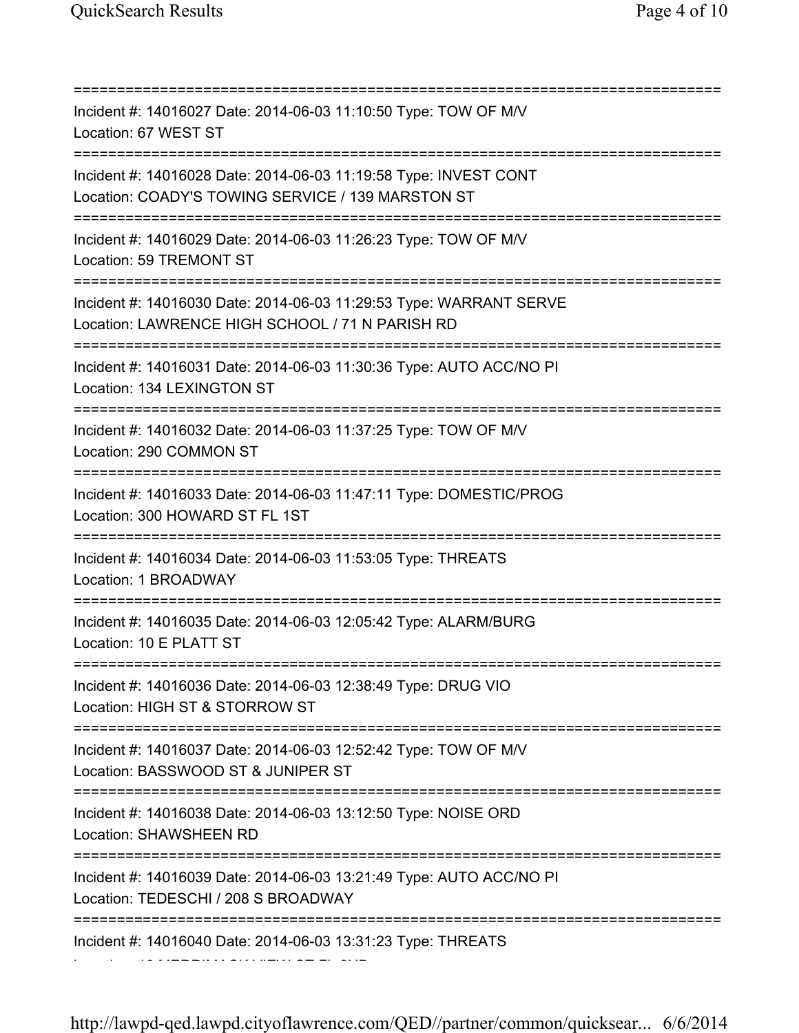=========================================================================== Incident #: 14016027 Date: 2014-06-03 11:10:50 Type: TOW OF M/V Location: 67 WEST ST =========================================================================== Incident #: 14016028 Date: 2014-06-03 11:19:58 Type: INVEST CONT Location: COADY'S TOWING SERVICE / 139 MARSTON ST =========================================================================== Incident #: 14016029 Date: 2014-06-03 11:26:23 Type: TOW OF M/V Location: 59 TREMONT ST =========================================================================== Incident #: 14016030 Date: 2014-06-03 11:29:53 Type: WARRANT SERVE Location: LAWRENCE HIGH SCHOOL / 71 N PARISH RD =========================================================================== Incident #: 14016031 Date: 2014-06-03 11:30:36 Type: AUTO ACC/NO PI Location: 134 LEXINGTON ST =========================================================================== Incident #: 14016032 Date: 2014-06-03 11:37:25 Type: TOW OF M/V Location: 290 COMMON ST =========================================================================== Incident #: 14016033 Date: 2014-06-03 11:47:11 Type: DOMESTIC/PROG Location: 300 HOWARD ST FL 1ST =========================================================================== Incident #: 14016034 Date: 2014-06-03 11:53:05 Type: THREATS Location: 1 BROADWAY =========================================================================== Incident #: 14016035 Date: 2014-06-03 12:05:42 Type: ALARM/BURG Location: 10 E PLATT ST =========================================================================== Incident #: 14016036 Date: 2014-06-03 12:38:49 Type: DRUG VIO Location: HIGH ST & STORROW ST =========================================================================== Incident #: 14016037 Date: 2014-06-03 12:52:42 Type: TOW OF M/V Location: BASSWOOD ST & JUNIPER ST =========================================================================== Incident #: 14016038 Date: 2014-06-03 13:12:50 Type: NOISE ORD Location: SHAWSHEEN RD =========================================================================== Incident #: 14016039 Date: 2014-06-03 13:21:49 Type: AUTO ACC/NO PI Location: TEDESCHI / 208 S BROADWAY =========================================================================== Incident #: 14016040 Date: 2014-06-03 13:31:23 Type: THREATS Location: 10 MERRIMACK VIEW CT FL 2ND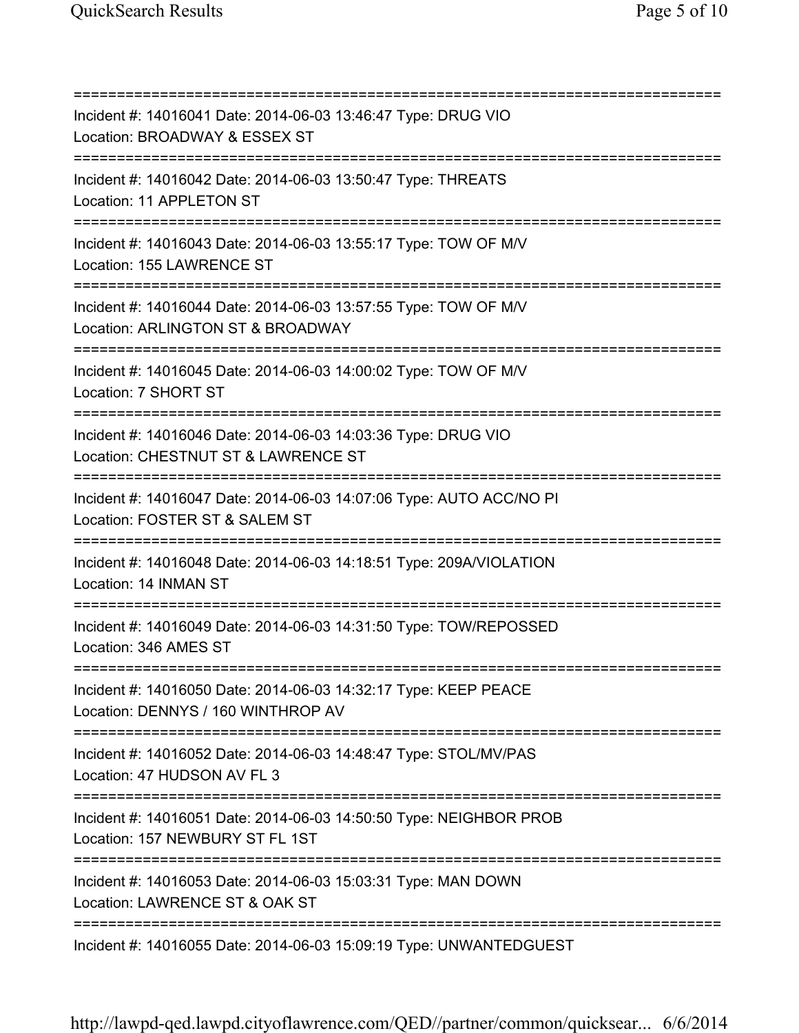=========================================================================== Incident #: 14016041 Date: 2014-06-03 13:46:47 Type: DRUG VIO Location: BROADWAY & ESSEX ST =========================================================================== Incident #: 14016042 Date: 2014-06-03 13:50:47 Type: THREATS Location: 11 APPLETON ST =========================================================================== Incident #: 14016043 Date: 2014-06-03 13:55:17 Type: TOW OF M/V Location: 155 LAWRENCE ST =========================================================================== Incident #: 14016044 Date: 2014-06-03 13:57:55 Type: TOW OF M/V Location: ARLINGTON ST & BROADWAY =========================================================================== Incident #: 14016045 Date: 2014-06-03 14:00:02 Type: TOW OF M/V Location: 7 SHORT ST =========================================================================== Incident #: 14016046 Date: 2014-06-03 14:03:36 Type: DRUG VIO Location: CHESTNUT ST & LAWRENCE ST =========================================================================== Incident #: 14016047 Date: 2014-06-03 14:07:06 Type: AUTO ACC/NO PI Location: FOSTER ST & SALEM ST =========================================================================== Incident #: 14016048 Date: 2014-06-03 14:18:51 Type: 209A/VIOLATION Location: 14 INMAN ST =========================================================================== Incident #: 14016049 Date: 2014-06-03 14:31:50 Type: TOW/REPOSSED Location: 346 AMES ST =========================================================================== Incident #: 14016050 Date: 2014-06-03 14:32:17 Type: KEEP PEACE Location: DENNYS / 160 WINTHROP AV =========================================================================== Incident #: 14016052 Date: 2014-06-03 14:48:47 Type: STOL/MV/PAS Location: 47 HUDSON AV FL 3 =========================================================================== Incident #: 14016051 Date: 2014-06-03 14:50:50 Type: NEIGHBOR PROB Location: 157 NEWBURY ST FL 1ST =========================================================================== Incident #: 14016053 Date: 2014-06-03 15:03:31 Type: MAN DOWN Location: LAWRENCE ST & OAK ST =========================================================================== Incident #: 14016055 Date: 2014-06-03 15:09:19 Type: UNWANTEDGUEST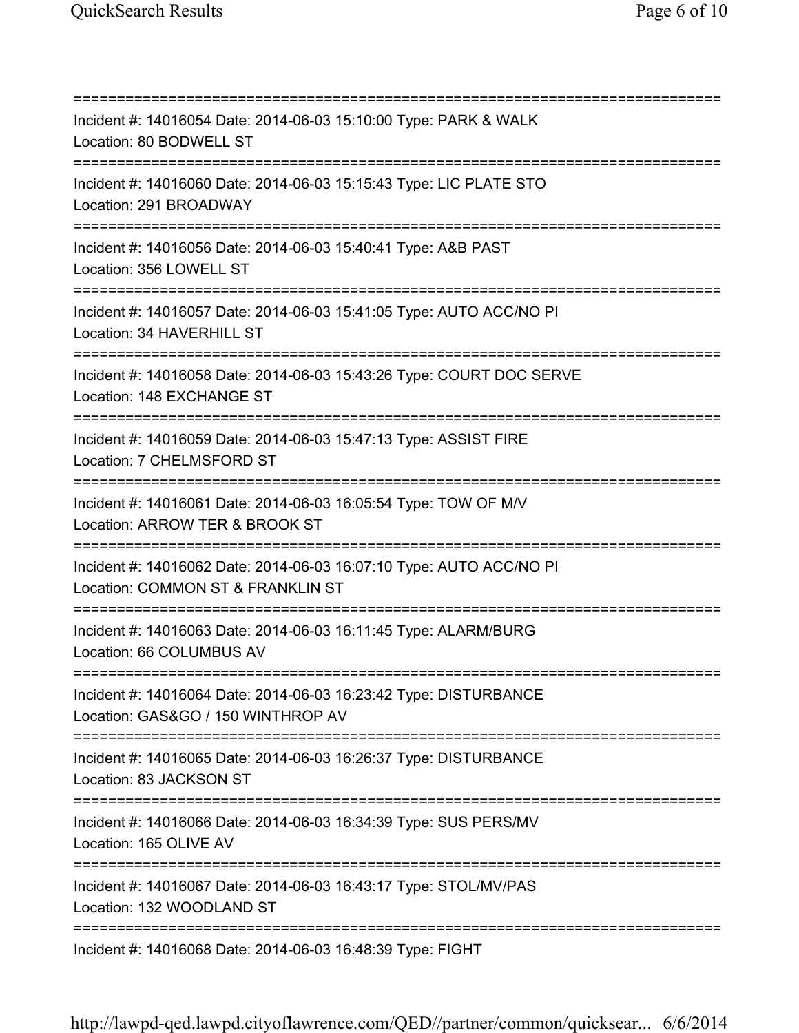=========================================================================== Incident #: 14016054 Date: 2014-06-03 15:10:00 Type: PARK & WALK Location: 80 BODWELL ST =========================================================================== Incident #: 14016060 Date: 2014-06-03 15:15:43 Type: LIC PLATE STO Location: 291 BROADWAY =========================================================================== Incident #: 14016056 Date: 2014-06-03 15:40:41 Type: A&B PAST Location: 356 LOWELL ST =========================================================================== Incident #: 14016057 Date: 2014-06-03 15:41:05 Type: AUTO ACC/NO PI Location: 34 HAVERHILL ST =========================================================================== Incident #: 14016058 Date: 2014-06-03 15:43:26 Type: COURT DOC SERVE Location: 148 EXCHANGE ST =========================================================================== Incident #: 14016059 Date: 2014-06-03 15:47:13 Type: ASSIST FIRE Location: 7 CHELMSFORD ST =========================================================================== Incident #: 14016061 Date: 2014-06-03 16:05:54 Type: TOW OF M/V Location: ARROW TER & BROOK ST =========================================================================== Incident #: 14016062 Date: 2014-06-03 16:07:10 Type: AUTO ACC/NO PI Location: COMMON ST & FRANKLIN ST =========================================================================== Incident #: 14016063 Date: 2014-06-03 16:11:45 Type: ALARM/BURG Location: 66 COLUMBUS AV =========================================================================== Incident #: 14016064 Date: 2014-06-03 16:23:42 Type: DISTURBANCE Location: GAS&GO / 150 WINTHROP AV =========================================================================== Incident #: 14016065 Date: 2014-06-03 16:26:37 Type: DISTURBANCE Location: 83 JACKSON ST =========================================================================== Incident #: 14016066 Date: 2014-06-03 16:34:39 Type: SUS PERS/MV Location: 165 OLIVE AV =========================================================================== Incident #: 14016067 Date: 2014-06-03 16:43:17 Type: STOL/MV/PAS Location: 132 WOODLAND ST =========================================================================== Incident #: 14016068 Date: 2014-06-03 16:48:39 Type: FIGHT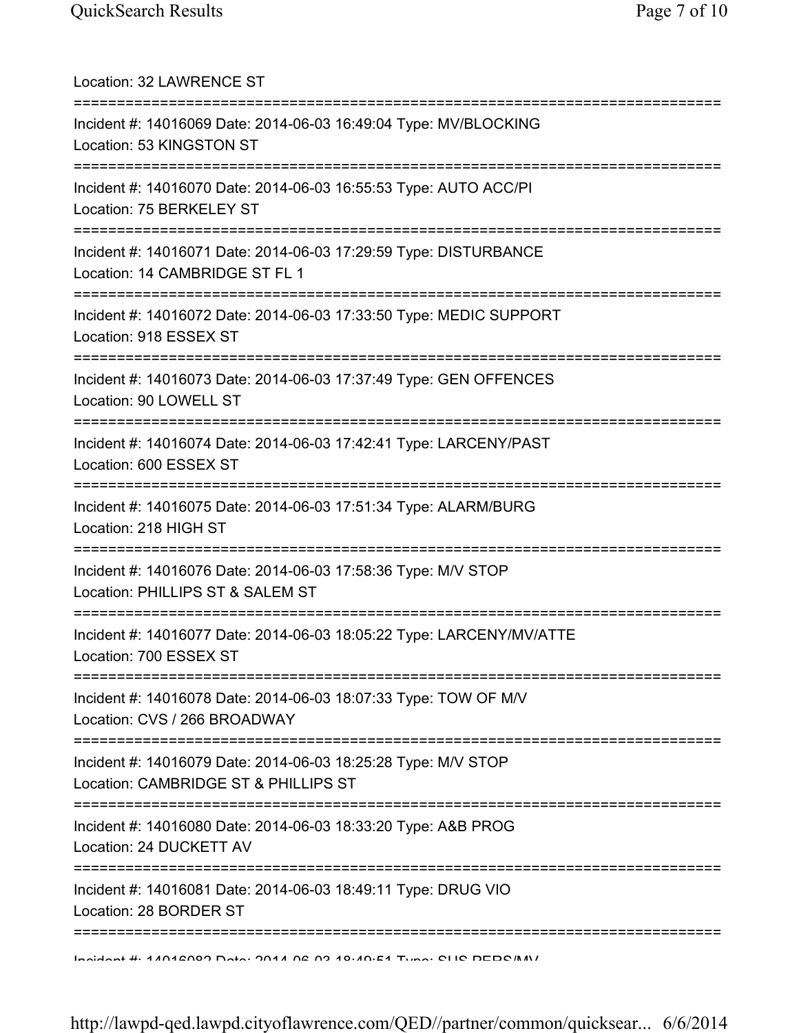| Location: 32 LAWRENCE ST                                                                                                             |
|--------------------------------------------------------------------------------------------------------------------------------------|
| Incident #: 14016069 Date: 2014-06-03 16:49:04 Type: MV/BLOCKING<br>Location: 53 KINGSTON ST                                         |
| Incident #: 14016070 Date: 2014-06-03 16:55:53 Type: AUTO ACC/PI<br>Location: 75 BERKELEY ST                                         |
| Incident #: 14016071 Date: 2014-06-03 17:29:59 Type: DISTURBANCE<br>Location: 14 CAMBRIDGE ST FL 1                                   |
| Incident #: 14016072 Date: 2014-06-03 17:33:50 Type: MEDIC SUPPORT<br>Location: 918 ESSEX ST<br>==================================== |
| Incident #: 14016073 Date: 2014-06-03 17:37:49 Type: GEN OFFENCES<br>Location: 90 LOWELL ST                                          |
| Incident #: 14016074 Date: 2014-06-03 17:42:41 Type: LARCENY/PAST<br>Location: 600 ESSEX ST                                          |
| Incident #: 14016075 Date: 2014-06-03 17:51:34 Type: ALARM/BURG<br>Location: 218 HIGH ST                                             |
| Incident #: 14016076 Date: 2014-06-03 17:58:36 Type: M/V STOP<br>Location: PHILLIPS ST & SALEM ST                                    |
| Incident #: 14016077 Date: 2014-06-03 18:05:22 Type: LARCENY/MV/ATTE<br>Location: 700 ESSEX ST                                       |
| Incident #: 14016078 Date: 2014-06-03 18:07:33 Type: TOW OF M/V<br>Location: CVS / 266 BROADWAY                                      |
| Incident #: 14016079 Date: 2014-06-03 18:25:28 Type: M/V STOP<br>Location: CAMBRIDGE ST & PHILLIPS ST                                |
| Incident #: 14016080 Date: 2014-06-03 18:33:20 Type: A&B PROG<br>Location: 24 DUCKETT AV                                             |
| :==========<br>Incident #: 14016081 Date: 2014-06-03 18:49:11 Type: DRUG VIO<br>Location: 28 BORDER ST                               |
| Indident #: 47042009 Data: 2047 02:02:40:40:54 Tune: CLIC DEDC/M/                                                                    |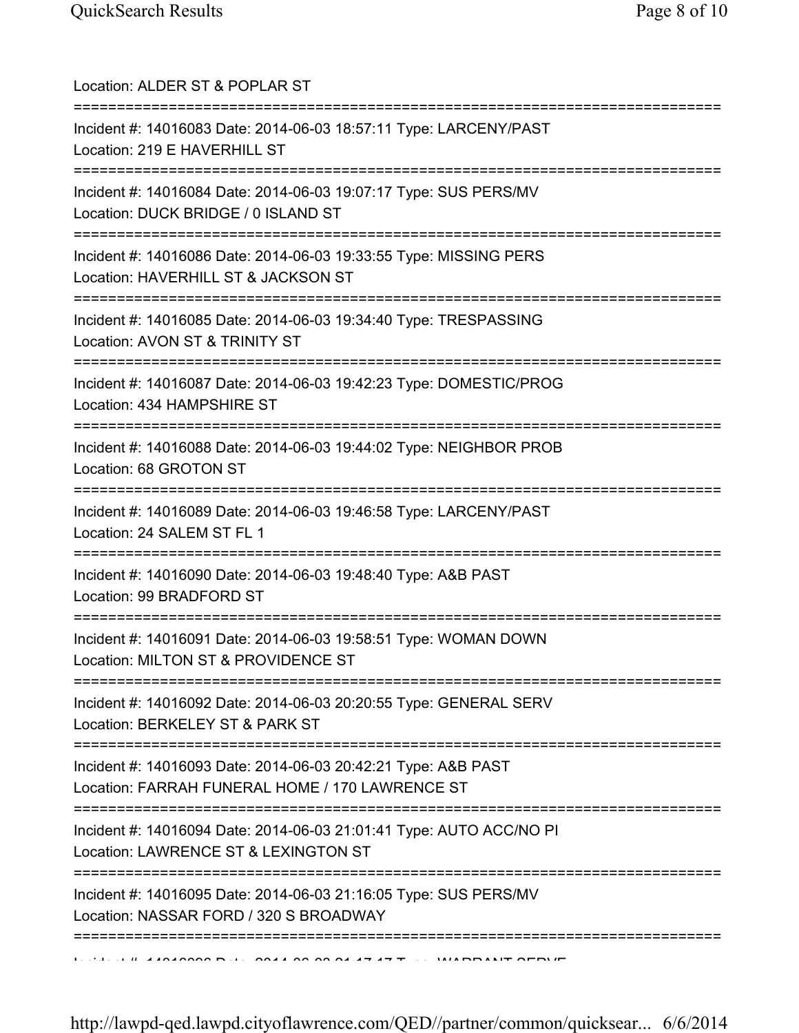| Location: ALDER ST & POPLAR ST                                                                                                                  |
|-------------------------------------------------------------------------------------------------------------------------------------------------|
| Incident #: 14016083 Date: 2014-06-03 18:57:11 Type: LARCENY/PAST<br>Location: 219 E HAVERHILL ST<br>=====================================      |
| Incident #: 14016084 Date: 2014-06-03 19:07:17 Type: SUS PERS/MV<br>Location: DUCK BRIDGE / 0 ISLAND ST<br>==================================== |
| Incident #: 14016086 Date: 2014-06-03 19:33:55 Type: MISSING PERS<br>Location: HAVERHILL ST & JACKSON ST<br>======================              |
| Incident #: 14016085 Date: 2014-06-03 19:34:40 Type: TRESPASSING<br>Location: AVON ST & TRINITY ST                                              |
| Incident #: 14016087 Date: 2014-06-03 19:42:23 Type: DOMESTIC/PROG<br>Location: 434 HAMPSHIRE ST                                                |
| Incident #: 14016088 Date: 2014-06-03 19:44:02 Type: NEIGHBOR PROB<br>Location: 68 GROTON ST                                                    |
| Incident #: 14016089 Date: 2014-06-03 19:46:58 Type: LARCENY/PAST<br>Location: 24 SALEM ST FL 1                                                 |
| Incident #: 14016090 Date: 2014-06-03 19:48:40 Type: A&B PAST<br>Location: 99 BRADFORD ST                                                       |
| Incident #: 14016091 Date: 2014-06-03 19:58:51 Type: WOMAN DOWN<br>Location: MILTON ST & PROVIDENCE ST                                          |
| Incident #: 14016092 Date: 2014-06-03 20:20:55 Type: GENERAL SERV<br>Location: BERKELEY ST & PARK ST                                            |
| Incident #: 14016093 Date: 2014-06-03 20:42:21 Type: A&B PAST<br>Location: FARRAH FUNERAL HOME / 170 LAWRENCE ST                                |
| Incident #: 14016094 Date: 2014-06-03 21:01:41 Type: AUTO ACC/NO PI<br>Location: LAWRENCE ST & LEXINGTON ST                                     |
| Incident #: 14016095 Date: 2014-06-03 21:16:05 Type: SUS PERS/MV<br>Location: NASSAR FORD / 320 S BROADWAY                                      |
|                                                                                                                                                 |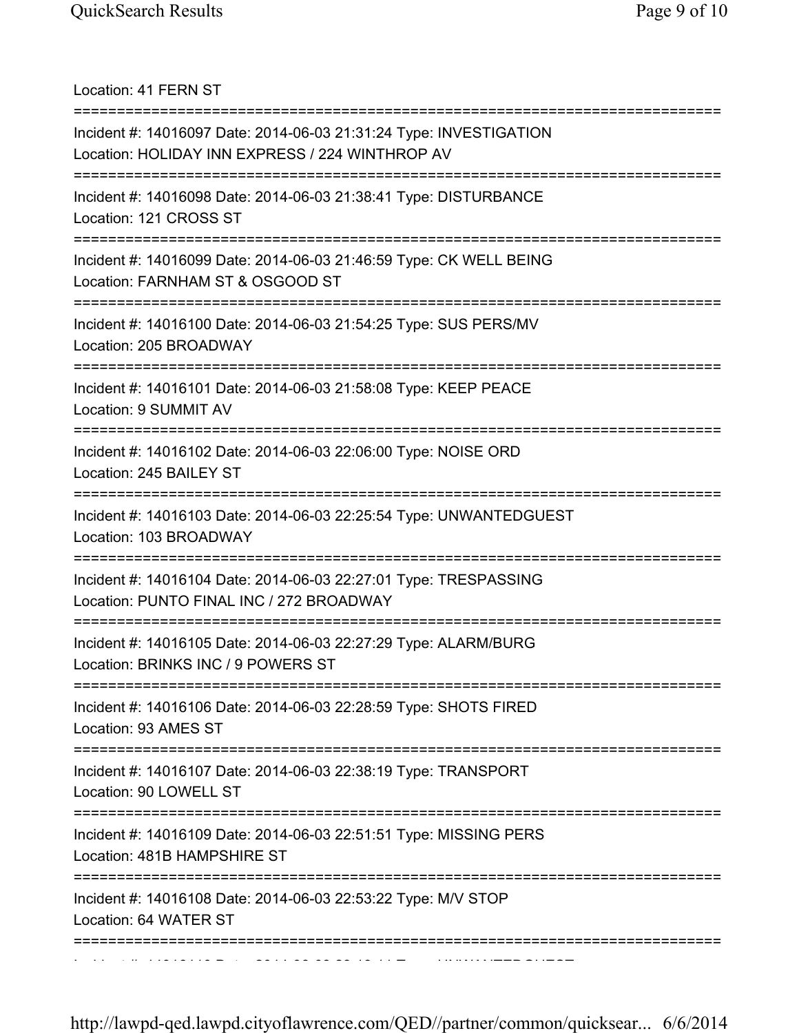Location: 41 FERN ST =========================================================================== Incident #: 14016097 Date: 2014-06-03 21:31:24 Type: INVESTIGATION Location: HOLIDAY INN EXPRESS / 224 WINTHROP AV =========================================================================== Incident #: 14016098 Date: 2014-06-03 21:38:41 Type: DISTURBANCE Location: 121 CROSS ST =========================================================================== Incident #: 14016099 Date: 2014-06-03 21:46:59 Type: CK WELL BEING Location: FARNHAM ST & OSGOOD ST =========================================================================== Incident #: 14016100 Date: 2014-06-03 21:54:25 Type: SUS PERS/MV Location: 205 BROADWAY =========================================================================== Incident #: 14016101 Date: 2014-06-03 21:58:08 Type: KEEP PEACE Location: 9 SUMMIT AV =========================================================================== Incident #: 14016102 Date: 2014-06-03 22:06:00 Type: NOISE ORD Location: 245 BAILEY ST =========================================================================== Incident #: 14016103 Date: 2014-06-03 22:25:54 Type: UNWANTEDGUEST Location: 103 BROADWAY =========================================================================== Incident #: 14016104 Date: 2014-06-03 22:27:01 Type: TRESPASSING Location: PUNTO FINAL INC / 272 BROADWAY =========================================================================== Incident #: 14016105 Date: 2014-06-03 22:27:29 Type: ALARM/BURG Location: BRINKS INC / 9 POWERS ST =========================================================================== Incident #: 14016106 Date: 2014-06-03 22:28:59 Type: SHOTS FIRED Location: 93 AMES ST =========================================================================== Incident #: 14016107 Date: 2014-06-03 22:38:19 Type: TRANSPORT Location: 90 LOWELL ST =========================================================================== Incident #: 14016109 Date: 2014-06-03 22:51:51 Type: MISSING PERS Location: 481B HAMPSHIRE ST =========================================================================== Incident #: 14016108 Date: 2014-06-03 22:53:22 Type: M/V STOP Location: 64 WATER ST =========================================================================== Incident #: 14016110 Date: 2014 06 03 23:19:11 Type: UNWANTEDGUEST